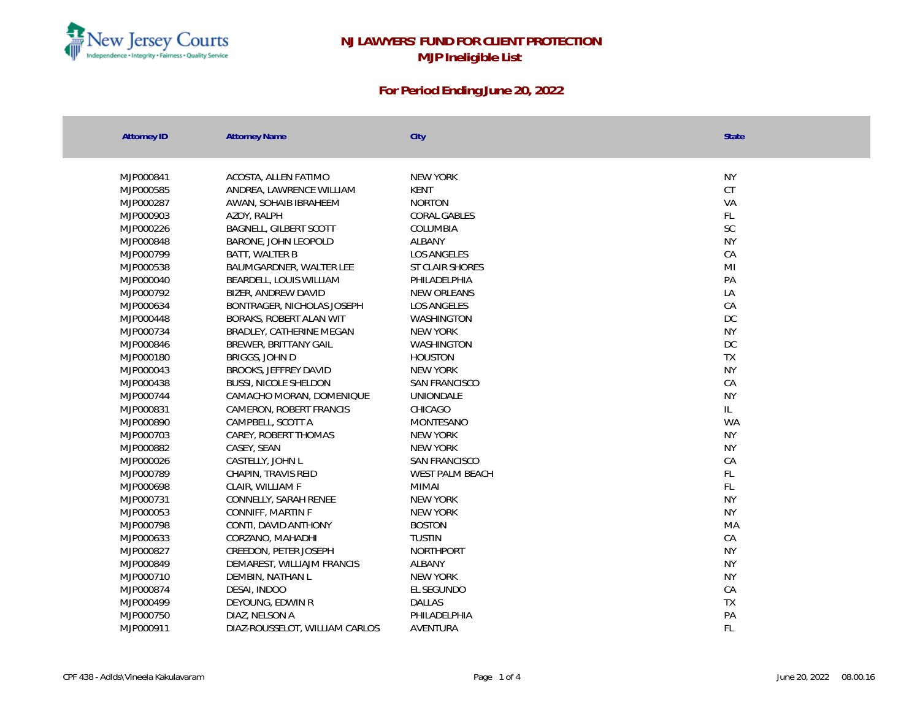

| <b>Attorney ID</b> | <b>Attorney Name</b>           | City                 | <b>State</b>              |
|--------------------|--------------------------------|----------------------|---------------------------|
|                    |                                |                      |                           |
|                    |                                |                      |                           |
| MJP000841          | ACOSTA, ALLEN FATIMO           | <b>NEW YORK</b>      | <b>NY</b>                 |
| MJP000585          | ANDREA, LAWRENCE WILLIAM       | <b>KENT</b>          | CT                        |
| MJP000287          | AWAN, SOHAIB IBRAHEEM          | <b>NORTON</b>        | VA                        |
| MJP000903          | AZOY, RALPH                    | <b>CORAL GABLES</b>  | $\mathsf{FL}$             |
| MJP000226          | <b>BAGNELL, GILBERT SCOTT</b>  | COLUMBIA             | SC                        |
| MJP000848          | BARONE, JOHN LEOPOLD           | ALBANY               | <b>NY</b>                 |
| MJP000799          | BATT, WALTER B                 | <b>LOS ANGELES</b>   | CA                        |
| MJP000538          | BAUMGARDNER, WALTER LEE        | ST CLAIR SHORES      | M <sub>l</sub>            |
| MJP000040          | BEARDELL, LOUIS WILLIAM        | PHILADELPHIA         | PA                        |
| MJP000792          | BIZER, ANDREW DAVID            | NEW ORLEANS          | LA                        |
| MJP000634          | BONTRAGER, NICHOLAS JOSEPH     | LOS ANGELES          | CA                        |
| MJP000448          | BORAKS, ROBERT ALAN WIT        | <b>WASHINGTON</b>    | DC                        |
| MJP000734          | BRADLEY, CATHERINE MEGAN       | NEW YORK             | <b>NY</b>                 |
| MJP000846          | BREWER, BRITTANY GAIL          | <b>WASHINGTON</b>    | DC                        |
| MJP000180          | BRIGGS, JOHN D                 | <b>HOUSTON</b>       | <b>TX</b>                 |
| MJP000043          | BROOKS, JEFFREY DAVID          | NEW YORK             | <b>NY</b>                 |
| MJP000438          | <b>BUSSI, NICOLE SHELDON</b>   | SAN FRANCISCO        | CA                        |
| MJP000744          | CAMACHO MORAN, DOMENIQUE       | UNIONDALE            | <b>NY</b>                 |
| MJP000831          | CAMERON, ROBERT FRANCIS        | CHICAGO              | L                         |
| MJP000890          | CAMPBELL, SCOTT A              | MONTESANO            | <b>WA</b>                 |
| MJP000703          | CAREY, ROBERT THOMAS           | NEW YORK             | <b>NY</b>                 |
| MJP000882          | CASEY, SEAN                    | NEW YORK             | <b>NY</b>                 |
| MJP000026          | CASTELLY, JOHN L               | <b>SAN FRANCISCO</b> | CA                        |
| MJP000789          | CHAPIN, TRAVIS REID            | WEST PALM BEACH      | FL                        |
| MJP000698          | CLAIR, WILLIAM F               | <b>MIMAI</b>         | FL                        |
| MJP000731          | CONNELLY, SARAH RENEE          | NEW YORK             | <b>NY</b>                 |
| MJP000053          | CONNIFF, MARTIN F              | NEW YORK             | <b>NY</b>                 |
| MJP000798          | CONTI, DAVID ANTHONY           | <b>BOSTON</b>        | MA                        |
| MJP000633          | CORZANO, MAHADHI               | <b>TUSTIN</b>        | ${\mathbb C} {\mathsf A}$ |
| MJP000827          | CREEDON, PETER JOSEPH          | <b>NORTHPORT</b>     | <b>NY</b>                 |
| MJP000849          | DEMAREST, WILLIAJM FRANCIS     | <b>ALBANY</b>        | <b>NY</b>                 |
| MJP000710          | DEMBIN, NATHAN L               | NEW YORK             | <b>NY</b>                 |
| MJP000874          | DESAI, INDOO                   | EL SEGUNDO           | CA                        |
| MJP000499          | DEYOUNG, EDWIN R               | DALLAS               | <b>TX</b>                 |
| MJP000750          | DIAZ, NELSON A                 | PHILADELPHIA         | PA                        |
| MJP000911          | DIAZ-ROUSSELOT, WILLIAM CARLOS | AVENTURA             | FL                        |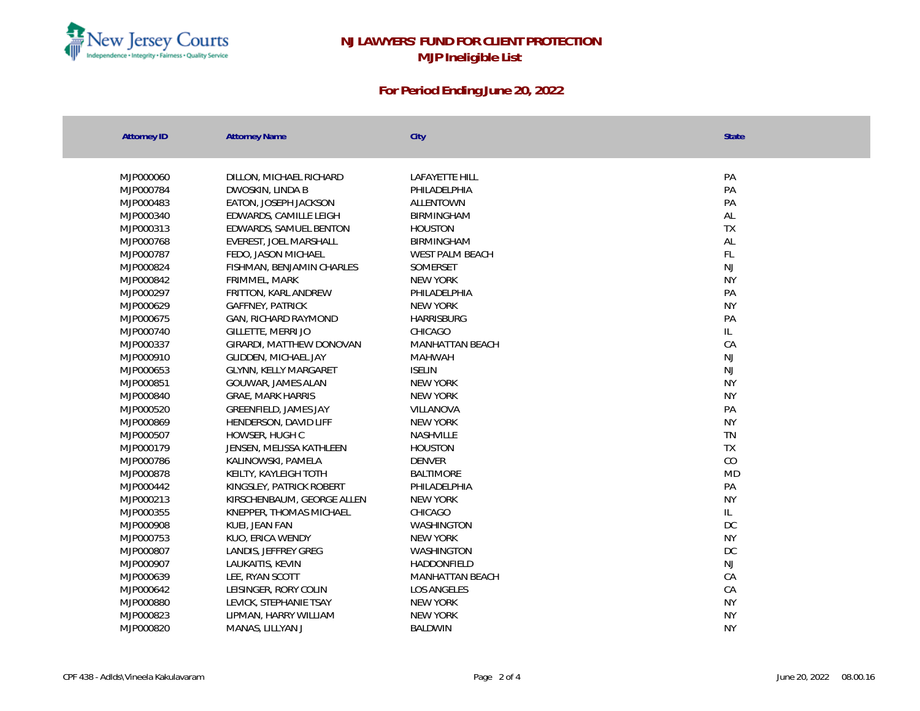

| <b>Attorney ID</b> | <b>Attorney Name</b>       | City                   | <b>State</b> |
|--------------------|----------------------------|------------------------|--------------|
|                    |                            |                        |              |
| MJP000060          | DILLON, MICHAEL RICHARD    | <b>LAFAYETTE HILL</b>  | PA           |
| MJP000784          | DWOSKIN, LINDA B           | PHILADELPHIA           | PA           |
| MJP000483          | EATON, JOSEPH JACKSON      | <b>ALLENTOWN</b>       | PA           |
| MJP000340          | EDWARDS, CAMILLE LEIGH     | BIRMINGHAM             | AL           |
| MJP000313          | EDWARDS, SAMUEL BENTON     | <b>HOUSTON</b>         | TX           |
| MJP000768          | EVEREST, JOEL MARSHALL     | BIRMINGHAM             | AL           |
| MJP000787          | FEDO, JASON MICHAEL        | WEST PALM BEACH        | FL           |
| MJP000824          | FISHMAN, BENJAMIN CHARLES  | <b>SOMFRSFT</b>        | <b>NJ</b>    |
| MJP000842          | FRIMMEL, MARK              | NEW YORK               | <b>NY</b>    |
| MJP000297          | FRITTON, KARL ANDREW       | PHILADELPHIA           | PA           |
| MJP000629          | <b>GAFFNEY, PATRICK</b>    | <b>NEW YORK</b>        | <b>NY</b>    |
| MJP000675          | GAN, RICHARD RAYMOND       | <b>HARRISBURG</b>      | PA           |
| MJP000740          | GILLETTE, MERRI JO         | CHICAGO                | IL.          |
| MJP000337          | GIRARDI, MATTHEW DONOVAN   | <b>MANHATTAN BEACH</b> | CA           |
| MJP000910          | GLIDDEN, MICHAEL JAY       | <b>MAHWAH</b>          | NJ           |
| MJP000653          | GLYNN, KELLY MARGARET      | <b>ISELIN</b>          | NJ           |
| MJP000851          | GOUWAR, JAMES ALAN         | NEW YORK               | <b>NY</b>    |
| MJP000840          | <b>GRAE, MARK HARRIS</b>   | NEW YORK               | <b>NY</b>    |
| MJP000520          | GREENFIELD, JAMES JAY      | <b>VILLANOVA</b>       | PA           |
| MJP000869          | HENDERSON, DAVID LIFF      | <b>NEW YORK</b>        | <b>NY</b>    |
| MJP000507          | HOWSER, HUGH C             | <b>NASHVILLE</b>       | TN           |
| MJP000179          | JENSEN, MELISSA KATHLEEN   | <b>HOUSTON</b>         | <b>TX</b>    |
| MJP000786          | KALINOWSKI, PAMELA         | <b>DENVER</b>          | CO           |
| MJP000878          | KEILTY, KAYLEIGH TOTH      | <b>BALTIMORE</b>       | <b>MD</b>    |
| MJP000442          | KINGSLEY, PATRICK ROBERT   | PHILADELPHIA           | PA           |
| MJP000213          | KIRSCHENBAUM, GEORGE ALLEN | <b>NEW YORK</b>        | <b>NY</b>    |
| MJP000355          | KNEPPER, THOMAS MICHAEL    | CHICAGO                | IL.          |
| MJP000908          | KUEI, JEAN FAN             | WASHINGTON             | DC           |
| MJP000753          | KUO, ERICA WENDY           | <b>NEW YORK</b>        | <b>NY</b>    |
| MJP000807          | LANDIS, JEFFREY GREG       | WASHINGTON             | DC           |
| MJP000907          | LAUKAITIS, KEVIN           | HADDONFIELD            | NJ           |
| MJP000639          | LEE, RYAN SCOTT            | <b>MANHATTAN BEACH</b> | CA           |
| MJP000642          | LEISINGER, RORY COLIN      | <b>LOS ANGELES</b>     | CA           |
| MJP000880          | LEVICK, STEPHANIE TSAY     | <b>NEW YORK</b>        | <b>NY</b>    |
| MJP000823          | LIPMAN, HARRY WILLIAM      | NEW YORK               | <b>NY</b>    |
| MJP000820          | MANAS, LILLYAN J           | <b>BALDWIN</b>         | <b>NY</b>    |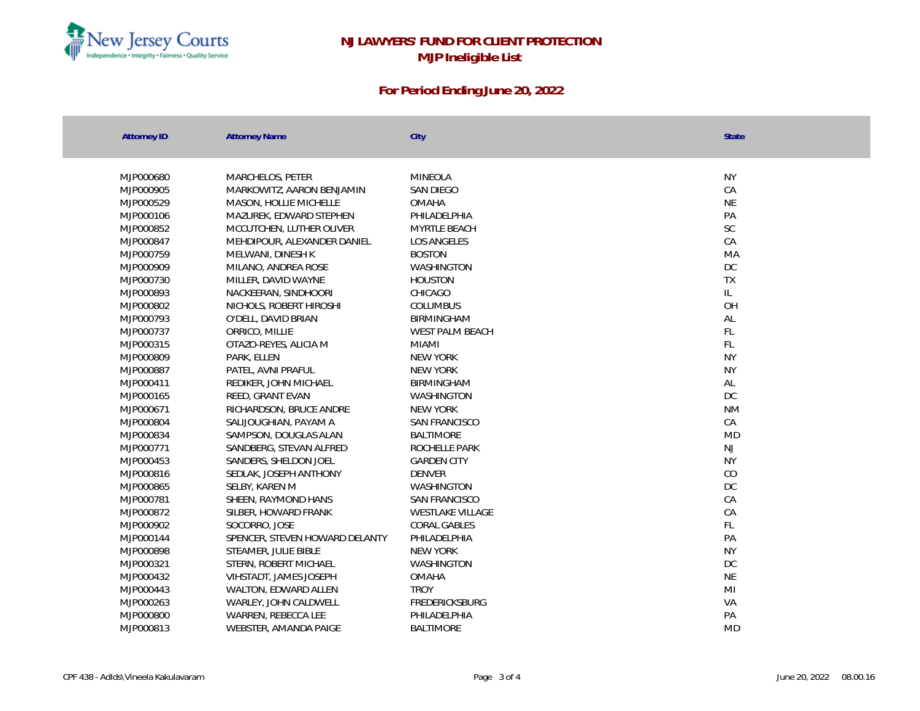

| <b>Attorney ID</b> | <b>Attorney Name</b>           | City                    | <b>State</b>                      |
|--------------------|--------------------------------|-------------------------|-----------------------------------|
|                    |                                |                         |                                   |
| MJP000680          | MARCHELOS, PETER               | <b>MINEOLA</b>          | <b>NY</b>                         |
| MJP000905          | MARKOWITZ, AARON BENJAMIN      | SAN DIEGO               | CA                                |
| MJP000529          | MASON, HOLLIE MICHELLE         | <b>OMAHA</b>            | <b>NE</b>                         |
| MJP000106          | MAZUREK, EDWARD STEPHEN        | PHILADELPHIA            | PA                                |
| MJP000852          | MCCUTCHEN, LUTHER OLIVER       | MYRTLE BEACH            | SC.                               |
| MJP000847          | MEHDIPOUR, ALEXANDER DANIEL    | LOS ANGELES             | CA                                |
| MJP000759          | MELWANI, DINESH K              | <b>BOSTON</b>           | <b>MA</b>                         |
| MJP000909          | MILANO, ANDREA ROSE            | WASHINGTON              | DC                                |
| MJP000730          | MILLER, DAVID WAYNE            | <b>HOUSTON</b>          | <b>TX</b>                         |
| MJP000893          | NACKEERAN, SINDHOORI           | CHICAGO                 | $\ensuremath{\mathsf{IL}}\xspace$ |
| MJP000802          | NICHOLS, ROBERT HIROSHI        | <b>COLUMBUS</b>         | OH                                |
| MJP000793          | O'DELL, DAVID BRIAN            | BIRMINGHAM              | $\mathsf{AL}$                     |
| MJP000737          | ORRICO, MILLIE                 | WEST PALM BEACH         | FL                                |
| MJP000315          | OTAZO-REYES, ALICIA M          | <b>MIAMI</b>            | FL                                |
| MJP000809          | PARK, ELLEN                    | NEW YORK                | <b>NY</b>                         |
| MJP000887          | PATEL, AVNI PRAFUL             | NEW YORK                | <b>NY</b>                         |
| MJP000411          | REDIKER, JOHN MICHAEL          | BIRMINGHAM              | AL                                |
| MJP000165          | REED, GRANT EVAN               | WASHINGTON              | DC                                |
| MJP000671          | RICHARDSON, BRUCE ANDRE        | <b>NEW YORK</b>         | <b>NM</b>                         |
| MJP000804          | SALIJOUGHIAN, PAYAM A          | SAN FRANCISCO           | CA                                |
| MJP000834          | SAMPSON, DOUGLAS ALAN          | <b>BALTIMORE</b>        | <b>MD</b>                         |
| MJP000771          | SANDBERG, STEVAN ALFRED        | ROCHELLE PARK           | NJ                                |
| MJP000453          | SANDERS, SHELDON JOEL          | <b>GARDEN CITY</b>      | <b>NY</b>                         |
| MJP000816          | SEDLAK, JOSEPH ANTHONY         | <b>DENVER</b>           | CO                                |
| MJP000865          | SELBY, KAREN M                 | WASHINGTON              | <b>DC</b>                         |
| MJP000781          | SHEEN, RAYMOND HANS            | SAN FRANCISCO           | CA                                |
| MJP000872          | SILBER, HOWARD FRANK           | <b>WESTLAKE VILLAGE</b> | CA                                |
| MJP000902          | SOCORRO, JOSE                  | CORAL GABLES            | FL.                               |
| MJP000144          | SPENCER, STEVEN HOWARD DELANTY | PHILADELPHIA            | PA                                |
| MJP000898          | STEAMER, JULIE BIBLE           | <b>NEW YORK</b>         | <b>NY</b>                         |
| MJP000321          | STERN, ROBERT MICHAEL          | WASHINGTON              | DC                                |
| MJP000432          | VIHSTADT, JAMES JOSEPH         | <b>OMAHA</b>            | <b>NE</b>                         |
| MJP000443          | WALTON, EDWARD ALLEN           | <b>TROY</b>             | M <sub>l</sub>                    |
| MJP000263          | WARLEY, JOHN CALDWELL          | FREDERICKSBURG          | VA                                |
| MJP000800          | WARREN, REBECCA LEE            | PHILADELPHIA            | PA                                |
| MJP000813          | WEBSTER, AMANDA PAIGE          | <b>BALTIMORE</b>        | <b>MD</b>                         |